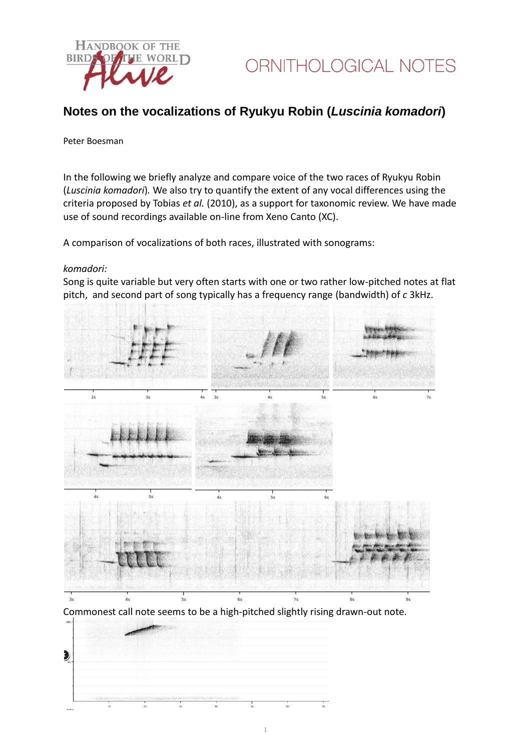

### **Notes on the vocalizations of Ryukyu Robin (***Luscinia komadori***)**

#### Peter Boesman

In the following we briefly analyze and compare voice of the two races of Ryukyu Robin (*Luscinia komadori*)*.* We also try to quantify the extent of any vocal differences using the criteria proposed by Tobias *et al.* (2010), as a support for taxonomic review. We have made use of sound recordings available on-line from Xeno Canto (XC).

A comparison of vocalizations of both races, illustrated with sonograms:

#### *komadori:*

Song is quite variable but very often starts with one or two rather low-pitched notes at flat pitch, and second part of song typically has a frequency range (bandwidth) of *c* 3kHz.



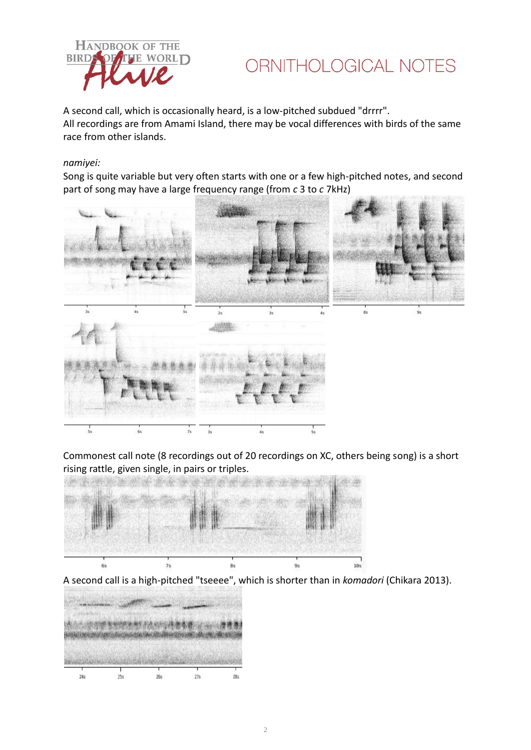

## ORNITHOLOGICAL NOTES

A second call, which is occasionally heard, is a low-pitched subdued "drrrr". All recordings are from Amami Island, there may be vocal differences with birds of the same race from other islands.

#### *namiyei:*

Song is quite variable but very often starts with one or a few high-pitched notes, and second part of song may have a large frequency range (from *c* 3 to *c* 7kHz)



Commonest call note (8 recordings out of 20 recordings on XC, others being song) is a short rising rattle, given single, in pairs or triples.



A second call is a high-pitched "tseeee", which is shorter than in *komadori* (Chikara 2013).